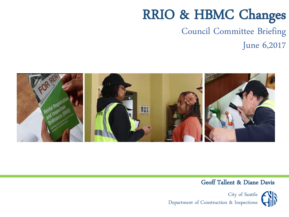#### Council Committee Briefing June 6,2017



#### Geoff Tallent & Diane Davis

City of Seattle Department of Construction & Inspections

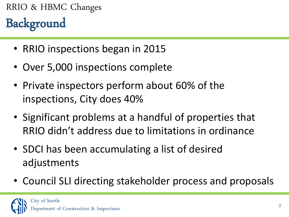## Background RRIO & HBMC Changes

- RRIO inspections began in 2015
- Over 5,000 inspections complete
- Private inspectors perform about 60% of the inspections, City does 40%
- Significant problems at a handful of properties that RRIO didn't address due to limitations in ordinance
- SDCI has been accumulating a list of desired adjustments
- Council SLI directing stakeholder process and proposals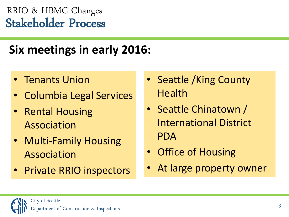## Stakeholder Process RRIO & HBMC Changes

## **Six meetings in early 2016:**

- Tenants Union
- Columbia Legal Services
- Rental Housing Association
- Multi-Family Housing Association
- **Private RRIO inspectors**
- Seattle /King County **Health**
- Seattle Chinatown / International District PDA
- Office of Housing
- At large property owner

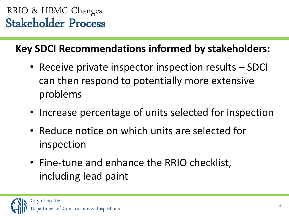## Stakeholder Process RRIO & HBMC Changes

### **Key SDCI Recommendations informed by stakeholders:**

- Receive private inspector inspection results SDCI can then respond to potentially more extensive problems
- Increase percentage of units selected for inspection
- Reduce notice on which units are selected for inspection
- Fine-tune and enhance the RRIO checklist, including lead paint

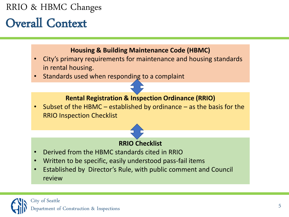## Overall Context

#### **Housing & Building Maintenance Code (HBMC)**

- City's primary requirements for maintenance and housing standards in rental housing.
- Standards used when responding to a complaint

#### **Rental Registration & Inspection Ordinance (RRIO)**

• Subset of the HBMC – established by ordinance – as the basis for the RRIO Inspection Checklist

# **RRIO Checklist**

- Derived from the HBMC standards cited in RRIO
- Written to be specific, easily understood pass-fail items
- Established by Director's Rule, with public comment and Council review

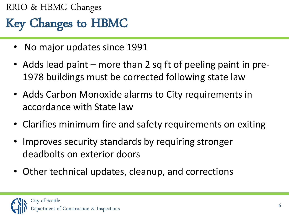## Key Changes to HBMC RRIO & HBMC Changes

- No major updates since 1991
- Adds lead paint more than 2 sq ft of peeling paint in pre-1978 buildings must be corrected following state law
- Adds Carbon Monoxide alarms to City requirements in accordance with State law
- Clarifies minimum fire and safety requirements on exiting
- Improves security standards by requiring stronger deadbolts on exterior doors
- Other technical updates, cleanup, and corrections

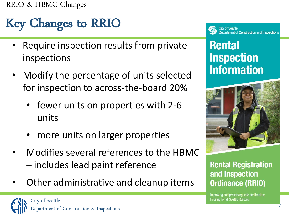# Key Changes to RRIO

- Require inspection results from private inspections
- Modify the percentage of units selected for inspection to across-the-board 20%
	- fewer units on properties with 2-6 units
	- more units on larger properties
- Modifies several references to the HBMC – includes lead paint reference
- Other administrative and cleanup items



**City of Seattle** Department of Construction and Inspections

### **Rental Inspection Information**



**Rental Registration** and Inspection **Ordinance (RRIO)** 

Improving and preserving safe and healthy housing for all Seattle Renters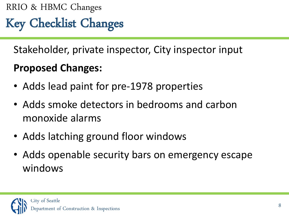Key Checklist Changes

Stakeholder, private inspector, City inspector input

## **Proposed Changes:**

- Adds lead paint for pre-1978 properties
- Adds smoke detectors in bedrooms and carbon monoxide alarms
- Adds latching ground floor windows
- Adds openable security bars on emergency escape windows

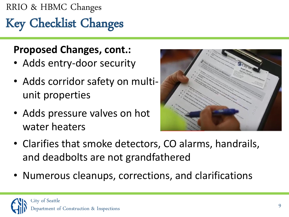# Key Checklist Changes

#### **Proposed Changes, cont.:**

- Adds entry-door security
- Adds corridor safety on multiunit properties
- Adds pressure valves on hot water heaters



- Clarifies that smoke detectors, CO alarms, handrails, and deadbolts are not grandfathered
- Numerous cleanups, corrections, and clarifications

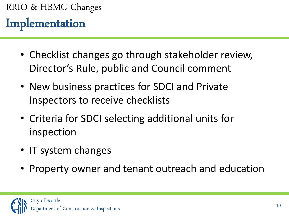## Implementation

- Checklist changes go through stakeholder review, Director's Rule, public and Council comment
- New business practices for SDCI and Private Inspectors to receive checklists
- Criteria for SDCI selecting additional units for inspection
- IT system changes
- Property owner and tenant outreach and education